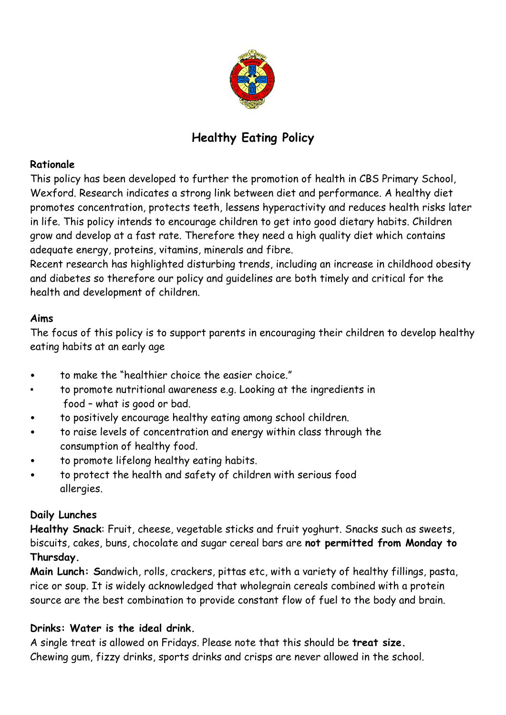

# **Healthy Eating Policy**

## **Rationale**

This policy has been developed to further the promotion of health in CBS Primary School, Wexford. Research indicates a strong link between diet and performance. A healthy diet promotes concentration, protects teeth, lessens hyperactivity and reduces health risks later in life. This policy intends to encourage children to get into good dietary habits. Children grow and develop at a fast rate. Therefore they need a high quality diet which contains adequate energy, proteins, vitamins, minerals and fibre.

Recent research has highlighted disturbing trends, including an increase in childhood obesity and diabetes so therefore our policy and guidelines are both timely and critical for the health and development of children.

# **Aims**

The focus of this policy is to support parents in encouraging their children to develop healthy eating habits at an early age

- to make the "healthier choice the easier choice."
- to promote nutritional awareness e.g. Looking at the ingredients in food – what is good or bad.
- to positively encourage healthy eating among school children.
- to raise levels of concentration and energy within class through the consumption of healthy food.
- to promote lifelong healthy eating habits.
- to protect the health and safety of children with serious food allergies.

# **Daily Lunches**

**Healthy Snack**: Fruit, cheese, vegetable sticks and fruit yoghurt. Snacks such as sweets, biscuits, cakes, buns, chocolate and sugar cereal bars are **not permitted from Monday to Thursday.**

**Main Lunch: S**andwich, rolls, crackers, pittas etc, with a variety of healthy fillings, pasta, rice or soup. It is widely acknowledged that wholegrain cereals combined with a protein source are the best combination to provide constant flow of fuel to the body and brain.

# **Drinks: Water is the ideal drink.**

A single treat is allowed on Fridays. Please note that this should be **treat size.** Chewing gum, fizzy drinks, sports drinks and crisps are never allowed in the school.